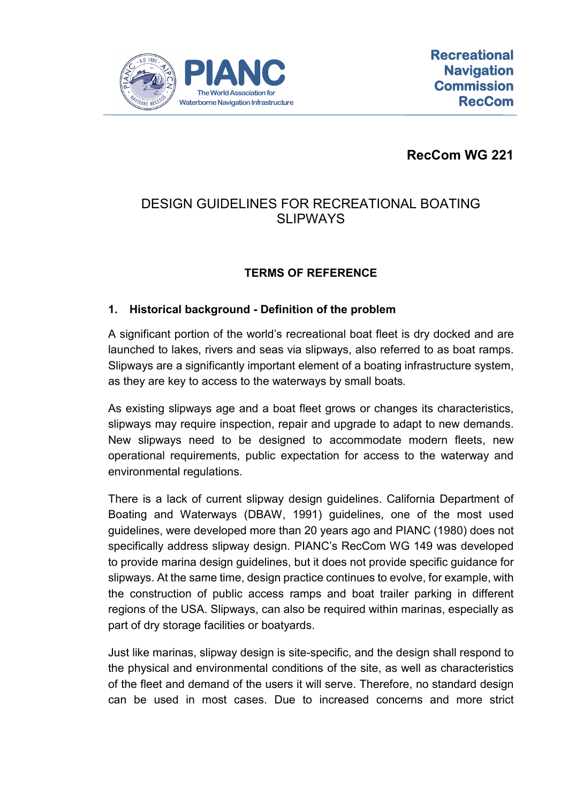

**RecCom WG 221**

# DESIGN GUIDELINES FOR RECREATIONAL BOATING **SLIPWAYS**

## **TERMS OF REFERENCE**

### **1. Historical background - Definition of the problem**

A significant portion of the world's recreational boat fleet is dry docked and are launched to lakes, rivers and seas via slipways, also referred to as boat ramps. Slipways are a significantly important element of a boating infrastructure system, as they are key to access to the waterways by small boats.

As existing slipways age and a boat fleet grows or changes its characteristics, slipways may require inspection, repair and upgrade to adapt to new demands. New slipways need to be designed to accommodate modern fleets, new operational requirements, public expectation for access to the waterway and environmental regulations.

There is a lack of current slipway design guidelines. California Department of Boating and Waterways (DBAW, 1991) guidelines, one of the most used guidelines, were developed more than 20 years ago and PIANC (1980) does not specifically address slipway design. PIANC's RecCom WG 149 was developed to provide marina design guidelines, but it does not provide specific guidance for slipways. At the same time, design practice continues to evolve, for example, with the construction of public access ramps and boat trailer parking in different regions of the USA. Slipways, can also be required within marinas, especially as part of dry storage facilities or boatyards.

Just like marinas, slipway design is site-specific, and the design shall respond to the physical and environmental conditions of the site, as well as characteristics of the fleet and demand of the users it will serve. Therefore, no standard design can be used in most cases. Due to increased concerns and more strict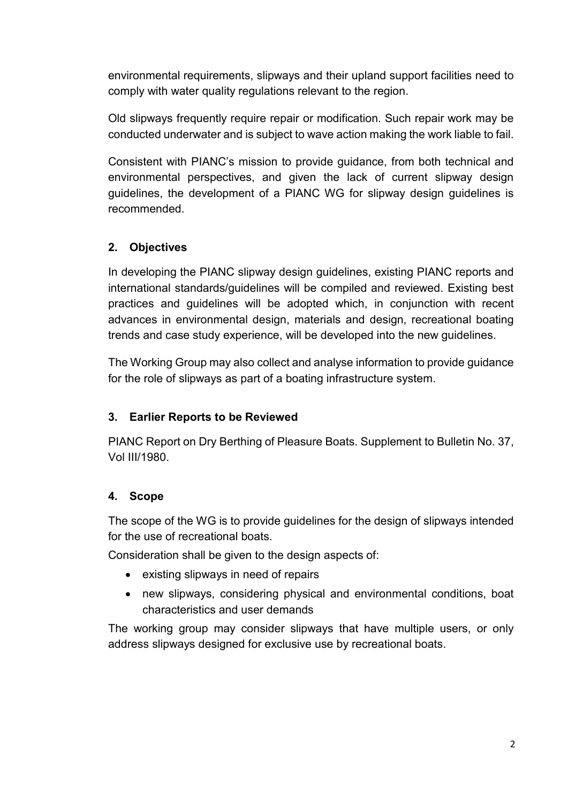environmental requirements, slipways and their upland support facilities need to comply with water quality regulations relevant to the region.

Old slipways frequently require repair or modification. Such repair work may be conducted underwater and is subject to wave action making the work liable to fail.

Consistent with PIANC's mission to provide guidance, from both technical and environmental perspectives, and given the lack of current slipway design guidelines, the development of a PIANC WG for slipway design guidelines is recommended.

## **2. Objectives**

In developing the PIANC slipway design guidelines, existing PIANC reports and international standards/guidelines will be compiled and reviewed. Existing best practices and guidelines will be adopted which, in conjunction with recent advances in environmental design, materials and design, recreational boating trends and case study experience, will be developed into the new guidelines.

The Working Group may also collect and analyse information to provide guidance for the role of slipways as part of a boating infrastructure system.

## **3. Earlier Reports to be Reviewed**

PIANC Report on Dry Berthing of Pleasure Boats. Supplement to Bulletin No. 37, Vol III/1980.

#### **4. Scope**

The scope of the WG is to provide guidelines for the design of slipways intended for the use of recreational boats.

Consideration shall be given to the design aspects of:

- existing slipways in need of repairs
- new slipways, considering physical and environmental conditions, boat characteristics and user demands

The working group may consider slipways that have multiple users, or only address slipways designed for exclusive use by recreational boats.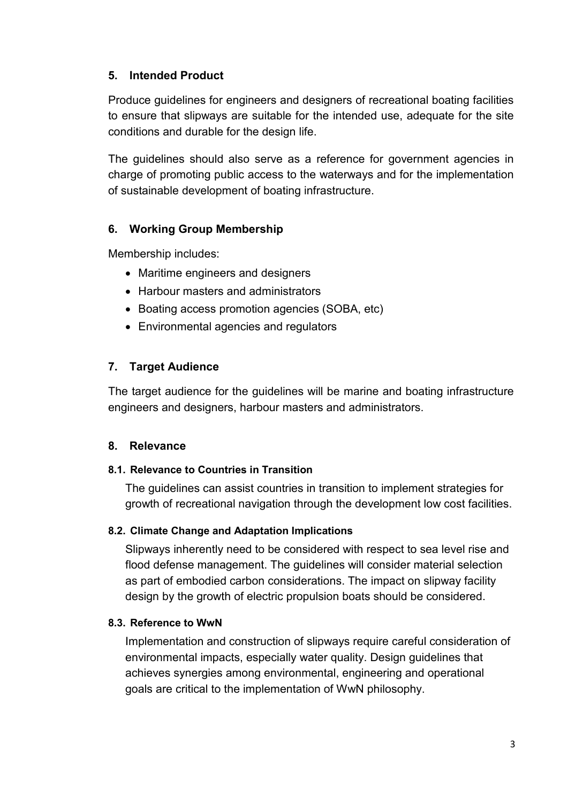### **5. Intended Product**

Produce guidelines for engineers and designers of recreational boating facilities to ensure that slipways are suitable for the intended use, adequate for the site conditions and durable for the design life.

The guidelines should also serve as a reference for government agencies in charge of promoting public access to the waterways and for the implementation of sustainable development of boating infrastructure.

### **6. Working Group Membership**

Membership includes:

- Maritime engineers and designers
- Harbour masters and administrators
- Boating access promotion agencies (SOBA, etc)
- Environmental agencies and regulators

### **7. Target Audience**

The target audience for the guidelines will be marine and boating infrastructure engineers and designers, harbour masters and administrators.

#### **8. Relevance**

#### **8.1. Relevance to Countries in Transition**

The guidelines can assist countries in transition to implement strategies for growth of recreational navigation through the development low cost facilities.

#### **8.2. Climate Change and Adaptation Implications**

Slipways inherently need to be considered with respect to sea level rise and flood defense management. The guidelines will consider material selection as part of embodied carbon considerations. The impact on slipway facility design by the growth of electric propulsion boats should be considered.

#### **8.3. Reference to WwN**

Implementation and construction of slipways require careful consideration of environmental impacts, especially water quality. Design guidelines that achieves synergies among environmental, engineering and operational goals are critical to the implementation of WwN philosophy.